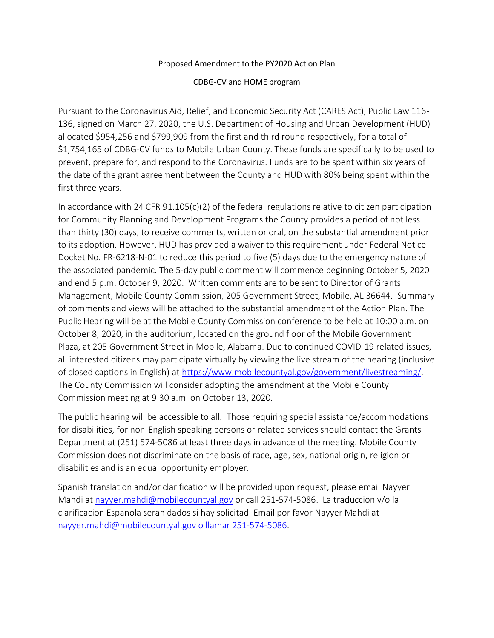#### Proposed Amendment to the PY2020 Action Plan

CDBG-CV and HOME program

Pursuant to the Coronavirus Aid, Relief, and Economic Security Act (CARES Act), Public Law 116- 136, signed on March 27, 2020, the U.S. Department of Housing and Urban Development (HUD) allocated \$954,256 and \$799,909 from the first and third round respectively, for a total of \$1,754,165 of CDBG-CV funds to Mobile Urban County. These funds are specifically to be used to prevent, prepare for, and respond to the Coronavirus. Funds are to be spent within six years of the date of the grant agreement between the County and HUD with 80% being spent within the first three years.

In accordance with 24 CFR  $91.105(c)(2)$  of the federal regulations relative to citizen participation for Community Planning and Development Programs the County provides a period of not less than thirty (30) days, to receive comments, written or oral, on the substantial amendment prior to its adoption. However, HUD has provided a waiver to this requirement under Federal Notice Docket No. FR-6218-N-01 to reduce this period to five (5) days due to the emergency nature of the associated pandemic. The 5-day public comment will commence beginning October 5, 2020 and end 5 p.m. October 9, 2020. Written comments are to be sent to Director of Grants Management, Mobile County Commission, 205 Government Street, Mobile, AL 36644. Summary of comments and views will be attached to the substantial amendment of the Action Plan. The Public Hearing will be at the Mobile County Commission conference to be held at 10:00 a.m. on October 8, 2020, in the auditorium, located on the ground floor of the Mobile Government Plaza, at 205 Government Street in Mobile, Alabama. Due to continued COVID-19 related issues, all interested citizens may participate virtually by viewing the live stream of the hearing (inclusive of closed captions in English) at [https://www.mobilecountyal.gov/government/livestreaming/.](https://www.mobilecountyal.gov/government/livestreaming/) The County Commission will consider adopting the amendment at the Mobile County Commission meeting at 9:30 a.m. on October 13, 2020.

The public hearing will be accessible to all. Those requiring special assistance/accommodations for disabilities, for non-English speaking persons or related services should contact the Grants Department at (251) 574-5086 at least three days in advance of the meeting. Mobile County Commission does not discriminate on the basis of race, age, sex, national origin, religion or disabilities and is an equal opportunity employer.

Spanish translation and/or clarification will be provided upon request, please email Nayyer Mahdi at [nayyer.mahdi@mobilecountyal.gov](mailto:nayyer.mahdi@mobilecountyal.gov) or call 251-574-5086. La traduccion y/o la clarificacion Espanola seran dados si hay solicitad. Email por favor Nayyer Mahdi at [nayyer.mahdi@mobilecountyal.gov](mailto:nayyer.mahdi@mobilecountyal.gov) o llamar 251-574-5086.